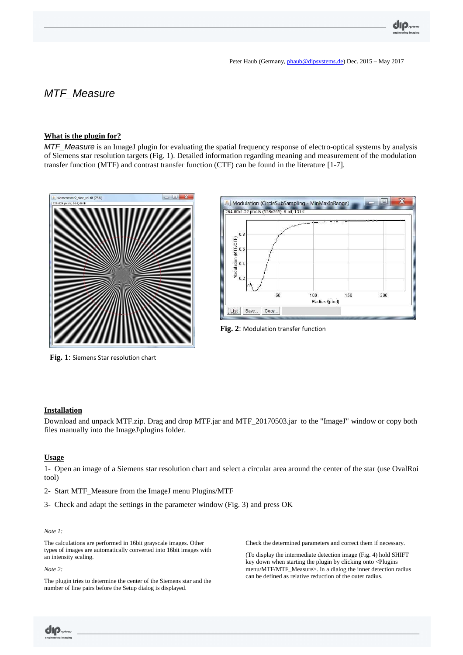# MTF\_Measure

#### **What is the plugin for?**

MTF\_Measure is an ImageJ plugin for evaluating the spatial frequency response of electro-optical systems by analysis of Siemens star resolution targets (Fig. 1). Detailed information regarding meaning and measurement of the modulation transfer function (MTF) and contrast transfer function (CTF) can be found in the literature [1-7].





**Fig. 2**: Modulation transfer function

**Fig. 1**: Siemens Star resolution chart

#### **Installation**

Download and unpack MTF.zip. Drag and drop MTF.jar and MTF\_20170503.jar to the "ImageJ" window or copy both files manually into the ImageJ\plugins folder.

#### **Usage**

1- Open an image of a Siemens star resolution chart and select a circular area around the center of the star (use OvalRoi tool)

- 2- Start MTF\_Measure from the ImageJ menu Plugins/MTF
- 3- Check and adapt the settings in the parameter window (Fig. 3) and press OK

#### *Note 1:*

The calculations are performed in 16bit grayscale images. Other types of images are automatically converted into 16bit images with an intensity scaling.

*Note 2:* 

UIP.

The plugin tries to determine the center of the Siemens star and the number of line pairs before the Setup dialog is displayed.

Check the determined parameters and correct them if necessary.

(To display the intermediate detection image (Fig. 4) hold SHIFT key down when starting the plugin by clicking onto <Plugins menu/MTF/MTF\_Measure>. In a dialog the inner detection radius can be defined as relative reduction of the outer radius.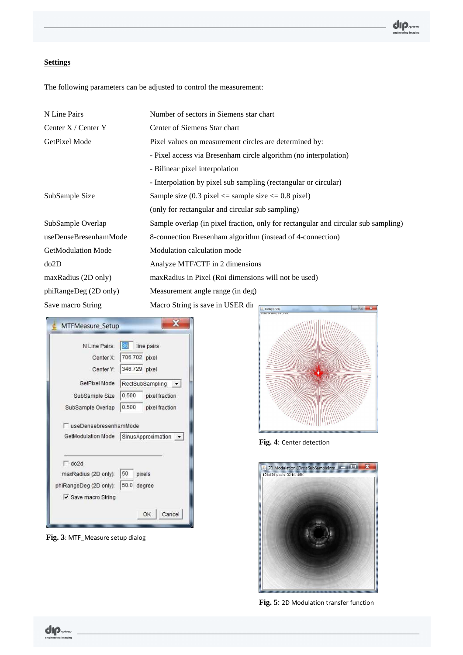## **Settings**

The following parameters can be adjusted to control the measurement:

| N Line Pairs              | Number of sectors in Siemens star chart                                                      |
|---------------------------|----------------------------------------------------------------------------------------------|
| Center $X /$ Center Y     | Center of Siemens Star chart                                                                 |
| GetPixel Mode             | Pixel values on measurement circles are determined by:                                       |
|                           | - Pixel access via Bresenham circle algorithm (no interpolation)                             |
|                           | - Bilinear pixel interpolation                                                               |
|                           | - Interpolation by pixel sub sampling (rectangular or circular)                              |
| SubSample Size            | Sample size $(0.3 \text{ pixel} \leq \text{sample size} \leq 0.8 \text{ pixel})$             |
|                           | (only for rectangular and circular sub sampling)                                             |
| SubSample Overlap         | Sample overlap (in pixel fraction, only for rectangular and circular sub sampling)           |
| useDenseBresenhamMode     | 8-connection Bresenham algorithm (instead of 4-connection)                                   |
| <b>GetModulation Mode</b> | Modulation calculation mode                                                                  |
| do2D                      | Analyze MTF/CTF in 2 dimensions                                                              |
| maxRadius (2D only)       | maxRadius in Pixel (Roi dimensions will not be used)                                         |
| phiRangeDeg (2D only)     | Measurement angle range (in deg)                                                             |
| Save macro String         | Macro String is save in USER direction<br><b>Binary (75%)</b><br>821x824 pixels; 8-bit, 661K |

| N Line Pairs:                         | 36            | line pairs      |
|---------------------------------------|---------------|-----------------|
| Center X:                             | 706.702 pixel |                 |
| Center Y:                             | 346.729 pixel |                 |
| GetPixel Mode                         |               | RectSubSampling |
| SubSample Size                        | 0.500         | pixel fraction  |
| SubSample Overlap                     | 0.500         | pixel fraction  |
|                                       |               |                 |
| GetModulation Mode SinusApproximation |               |                 |
|                                       |               |                 |
| $\Box$ do2d<br>maxRadius (2D only):   | 50            | pixels          |
|                                       | 50.0          | degree          |
| phiRangeDeg (2D only):                |               |                 |
| Ⅳ Save macro String                   |               |                 |

**Fig. 3**: MTF\_Measure setup dialog



**Fig. 4**: Center detection



**Fig. 5**: 2D Modulation transfer function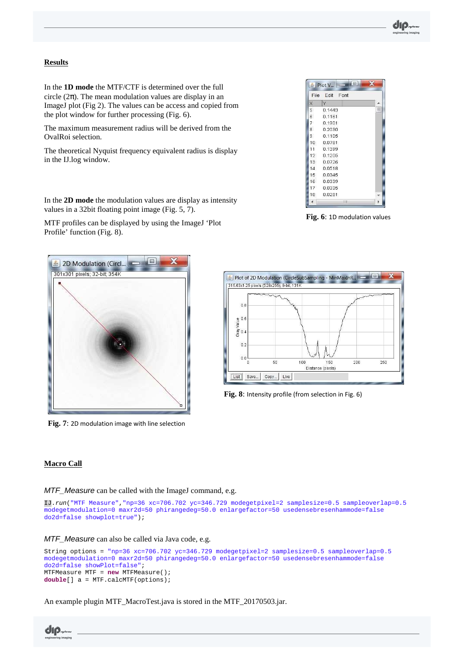#### **Results**

In the **1D mode** the MTF/CTF is determined over the full circle  $(2\pi)$ . The mean modulation values are display in an ImageJ plot (Fig 2). The values can be access and copied from the plot window for further processing (Fig. 6).

The maximum measurement radius will be derived from the OvalRoi selection.

The theoretical Nyquist frequency equivalent radius is display in the IJ.log window.

In the **2D mode** the modulation values are display as intensity

MTF profiles can be displayed by using the ImageJ 'Plot

values in a 32bit floating point image (Fig. 5, 7).

Profile' function (Fig. 8).

File Edit Font Ιx  $\mathbf{N}$  $0.1443$ 5  $\vert_6$ 0.1161  $0.1901$ 17 le 0.2030 |g  $0.1105$ 10 0.0781  $11$ 0.1399  $12$ 0.1205  $13$ 0.0726 0.0518  $14$  $15$ 0.0345 0.0339 16 17 0.0335 18 0.0281  $\left($ 

Plot V...

**Fig. 6**: 1D modulation values



**Fig. 7**: 2D modulation image with line selection



**Fig. 8**: Intensity profile (from selection in Fig. 6)

#### **Macro Call**

MTF Measure can be called with the ImageJ command, e.g.

```
IJ.run("MTF Measure","np=36 xc=706.702 yc=346.729 modegetpixel=2 samplesize=0.5 sampleoverlap=0.5 
modegetmodulation=0 maxr2d=50 phirangedeg=50.0 enlargefactor=50 usedensebresenhammode=false 
do2d=false showplot=true");
```
MTF\_Measure can also be called via Java code, e.g.

```
String options = "np=36 xc=706.702 yc=346.729 modegetpixel=2 samplesize=0.5 sampleoverlap=0.5 
modegetmodulation=0 maxr2d=50 phirangedeg=50.0 enlargefactor=50 usedensebresenhammode=false 
do2d=false showPlot=false"; 
MTFMeasure MTF = new MTFMeasure(); 
double[] a = MTF.calcMTF(options);
```
An example plugin MTF\_MacroTest.java is stored in the MTF\_20170503.jar.

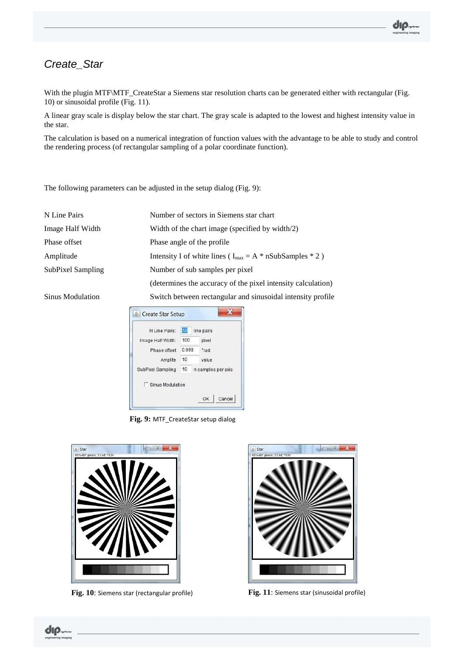## Create\_Star

With the plugin MTF\MTF\_CreateStar a Siemens star resolution charts can be generated either with rectangular (Fig. 10) or sinusoidal profile (Fig. 11).

A linear gray scale is display below the star chart. The gray scale is adapted to the lowest and highest intensity value in the star.

The calculation is based on a numerical integration of function values with the advantage to be able to study and control the rendering process (of rectangular sampling of a polar coordinate function).

The following parameters can be adjusted in the setup dialog (Fig. 9):

| N Line Pairs      | Number of sectors in Siemens star chart                        |  |
|-------------------|----------------------------------------------------------------|--|
| Image Half Width  | Width of the chart image (specified by width/2)                |  |
| Phase offset      | Phase angle of the profile                                     |  |
| Amplitude         | Intensity I of white lines ( $I_{max} = A * nSubSamples * 2$ ) |  |
| SubPixel Sampling | Number of sub samples per pixel                                |  |
|                   | (determines the accuracy of the pixel intensity calculation)   |  |
| Sinus Modulation  | Switch between rectangular and sinusoidal intensity profile    |  |



**Fig. 9:** MTF\_CreateStar setup dialog



**Fig. 10**: Siemens star (rectangular profile) **Fig. 11**: Siemens star (sinusoidal profile)